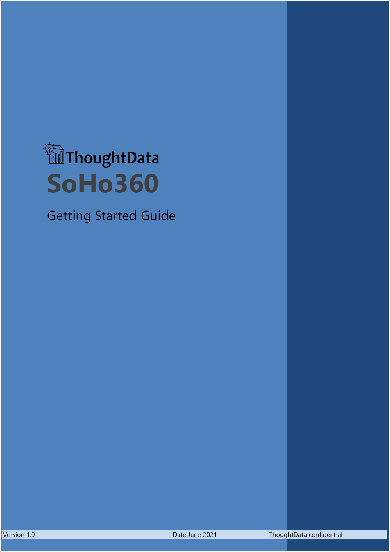

Getting Started Guide

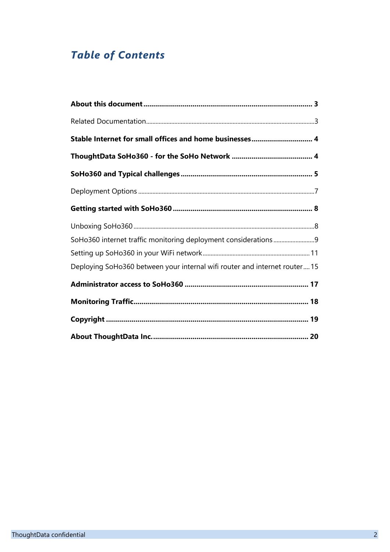## *Table of Contents*

| Stable Internet for small offices and home businesses 4                    |
|----------------------------------------------------------------------------|
|                                                                            |
|                                                                            |
|                                                                            |
|                                                                            |
|                                                                            |
|                                                                            |
|                                                                            |
| Deploying SoHo360 between your internal wifi router and internet router 15 |
|                                                                            |
|                                                                            |
|                                                                            |
|                                                                            |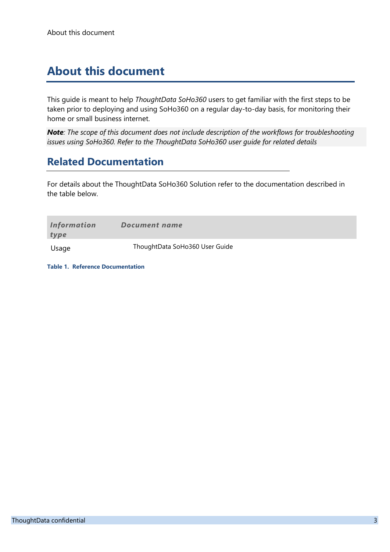## <span id="page-2-0"></span>**About this document**

This guide is meant to help *ThoughtData SoHo360* users to get familiar with the first steps to be taken prior to deploying and using SoHo360 on a regular day-to-day basis, for monitoring their home or small business internet.

*Note: The scope of this document does not include description of the workflows for troubleshooting issues using SoHo360. Refer to the ThoughtData SoHo360 user guide for related details*

### <span id="page-2-1"></span>**Related Documentation**

For details about the ThoughtData SoHo360 Solution refer to the documentation described in the table below.

| Information<br>type | Document name                  |
|---------------------|--------------------------------|
| Usage               | ThoughtData SoHo360 User Guide |

**Table 1. Reference Documentation**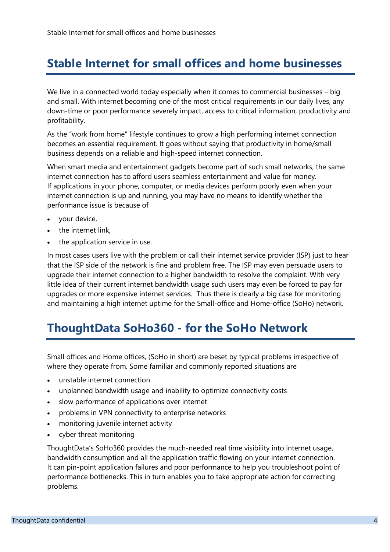## <span id="page-3-0"></span>**Stable Internet for small offices and home businesses**

We live in a connected world today especially when it comes to commercial businesses – big and small. With internet becoming one of the most critical requirements in our daily lives, any down-time or poor performance severely impact, access to critical information, productivity and profitability.

As the "work from home" lifestyle continues to grow a high performing internet connection becomes an essential requirement. It goes without saying that productivity in home/small business depends on a reliable and high-speed internet connection.

When smart media and entertainment gadgets become part of such small networks, the same internet connection has to afford users seamless entertainment and value for money. If applications in your phone, computer, or media devices perform poorly even when your internet connection is up and running, you may have no means to identify whether the performance issue is because of

- your device,
- the internet link,
- the application service in use.

In most cases users live with the problem or call their internet service provider (ISP) just to hear that the ISP side of the network is fine and problem free. The ISP may even persuade users to upgrade their internet connection to a higher bandwidth to resolve the complaint. With very little idea of their current internet bandwidth usage such users may even be forced to pay for upgrades or more expensive internet services. Thus there is clearly a big case for monitoring and maintaining a high internet uptime for the Small-office and Home-office (SoHo) network.

## <span id="page-3-1"></span>**ThoughtData SoHo360 - for the SoHo Network**

Small offices and Home offices, (SoHo in short) are beset by typical problems irrespective of where they operate from. Some familiar and commonly reported situations are

- unstable internet connection
- unplanned bandwidth usage and inability to optimize connectivity costs
- slow performance of applications over internet
- problems in VPN connectivity to enterprise networks
- monitoring juvenile internet activity
- cyber threat monitoring

ThoughtData's SoHo360 provides the much-needed real time visibility into internet usage, bandwidth consumption and all the application traffic flowing on your internet connection. It can pin-point application failures and poor performance to help you troubleshoot point of performance bottlenecks. This in turn enables you to take appropriate action for correcting problems.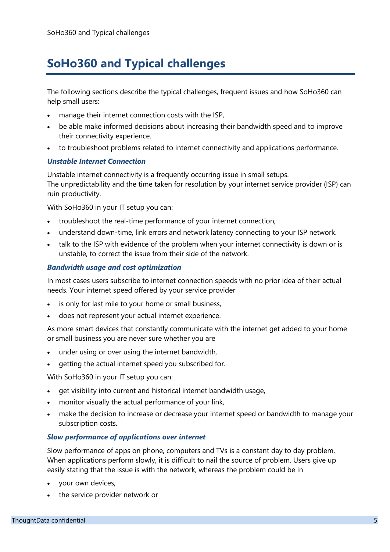# <span id="page-4-0"></span>**SoHo360 and Typical challenges**

The following sections describe the typical challenges, frequent issues and how SoHo360 can help small users:

- manage their internet connection costs with the ISP,
- be able make informed decisions about increasing their bandwidth speed and to improve their connectivity experience.
- to troubleshoot problems related to internet connectivity and applications performance.

#### *Unstable Internet Connection*

Unstable internet connectivity is a frequently occurring issue in small setups. The unpredictability and the time taken for resolution by your internet service provider (ISP) can ruin productivity.

With SoHo360 in your IT setup you can:

- troubleshoot the real-time performance of your internet connection,
- understand down-time, link errors and network latency connecting to your ISP network.
- talk to the ISP with evidence of the problem when your internet connectivity is down or is unstable, to correct the issue from their side of the network.

#### *Bandwidth usage and cost optimization*

In most cases users subscribe to internet connection speeds with no prior idea of their actual needs. Your internet speed offered by your service provider

- is only for last mile to your home or small business,
- does not represent your actual internet experience.

As more smart devices that constantly communicate with the internet get added to your home or small business you are never sure whether you are

- under using or over using the internet bandwidth,
- getting the actual internet speed you subscribed for.

With SoHo360 in your IT setup you can:

- get visibility into current and historical internet bandwidth usage,
- monitor visually the actual performance of your link,
- make the decision to increase or decrease your internet speed or bandwidth to manage your subscription costs.

### *Slow performance of applications over internet*

Slow performance of apps on phone, computers and TVs is a constant day to day problem. When applications perform slowly, it is difficult to nail the source of problem. Users give up easily stating that the issue is with the network, whereas the problem could be in

- your own devices,
- the service provider network or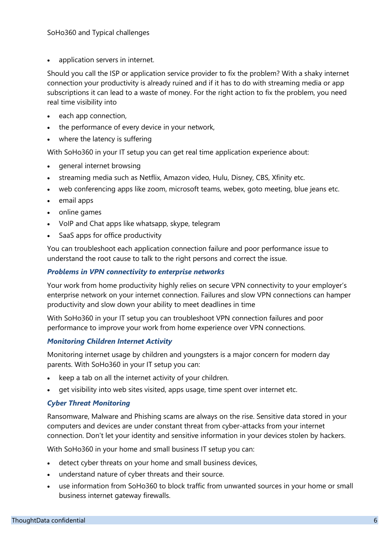application servers in internet.

Should you call the ISP or application service provider to fix the problem? With a shaky internet connection your productivity is already ruined and if it has to do with streaming media or app subscriptions it can lead to a waste of money. For the right action to fix the problem, you need real time visibility into

- each app connection,
- the performance of every device in your network,
- where the latency is suffering

With SoHo360 in your IT setup you can get real time application experience about:

- general internet browsing
- streaming media such as Netflix, Amazon video, Hulu, Disney, CBS, Xfinity etc.
- web conferencing apps like zoom, microsoft teams, webex, goto meeting, blue jeans etc.
- email apps
- online games
- VoIP and Chat apps like whatsapp, skype, telegram
- SaaS apps for office productivity

You can troubleshoot each application connection failure and poor performance issue to understand the root cause to talk to the right persons and correct the issue.

### *Problems in VPN connectivity to enterprise networks*

Your work from home productivity highly relies on secure VPN connectivity to your employer's enterprise network on your internet connection. Failures and slow VPN connections can hamper productivity and slow down your ability to meet deadlines in time

With SoHo360 in your IT setup you can troubleshoot VPN connection failures and poor performance to improve your work from home experience over VPN connections.

#### *Monitoring Children Internet Activity*

Monitoring internet usage by children and youngsters is a major concern for modern day parents. With SoHo360 in your IT setup you can:

- keep a tab on all the internet activity of your children.
- get visibility into web sites visited, apps usage, time spent over internet etc.

### *Cyber Threat Monitoring*

Ransomware, Malware and Phishing scams are always on the rise. Sensitive data stored in your computers and devices are under constant threat from cyber-attacks from your internet connection. Don't let your identity and sensitive information in your devices stolen by hackers.

With SoHo360 in your home and small business IT setup you can:

- detect cyber threats on your home and small business devices,
- understand nature of cyber threats and their source.
- use information from SoHo360 to block traffic from unwanted sources in your home or small business internet gateway firewalls.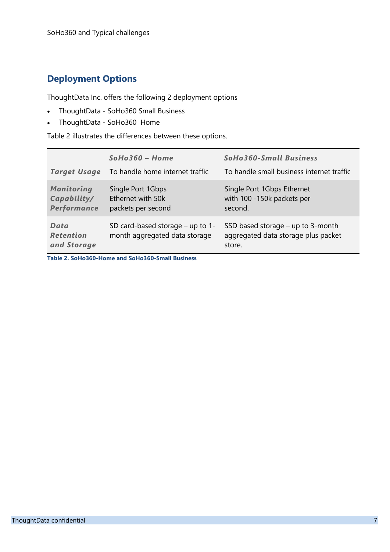### <span id="page-6-0"></span>**Deployment Options**

ThoughtData Inc. offers the following 2 deployment options

- ThoughtData SoHo360 Small Business
- ThoughtData SoHo360 Home

[Table 2](#page-6-1) illustrates the differences between these options.

| <b>Target Usage</b>                             | $SoHo360 - Home$<br>To handle home internet traffic               | <b>SoHo360-Small Business</b><br>To handle small business internet traffic           |
|-------------------------------------------------|-------------------------------------------------------------------|--------------------------------------------------------------------------------------|
| <b>Monitoring</b><br>Capability/<br>Performance | Single Port 1Gbps<br>Ethernet with 50k<br>packets per second      | Single Port 1Gbps Ethernet<br>with 100 -150k packets per<br>second.                  |
| Data<br><b>Retention</b><br>and Storage         | SD card-based storage - up to 1-<br>month aggregated data storage | SSD based storage $-$ up to 3-month<br>aggregated data storage plus packet<br>store. |

<span id="page-6-1"></span>**Table 2. SoHo360-Home and SoHo360-Small Business**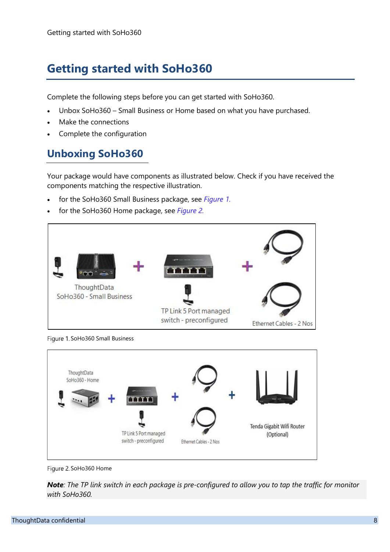# <span id="page-7-0"></span>**Getting started with SoHo360**

Complete the following steps before you can get started with SoHo360.

- Unbox SoHo360 Small Business or Home based on what you have purchased.
- Make the connections
- Complete the configuration

### <span id="page-7-1"></span>**Unboxing SoHo360**

Your package would have components as illustrated below. Check if you have received the components matching the respective illustration.

- for the SoHo360 Small Business package, see *[Figure 1.](#page-7-2)*
- for the SoHo360 Home package, see *[Figure 2.](#page-7-3)*



<span id="page-7-2"></span>Figure 1. SoHo360 Small Business



<span id="page-7-3"></span>Figure 2. SoHo360 Home

*Note: The TP link switch in each package is pre-configured to allow you to tap the traffic for monitor with SoHo360.*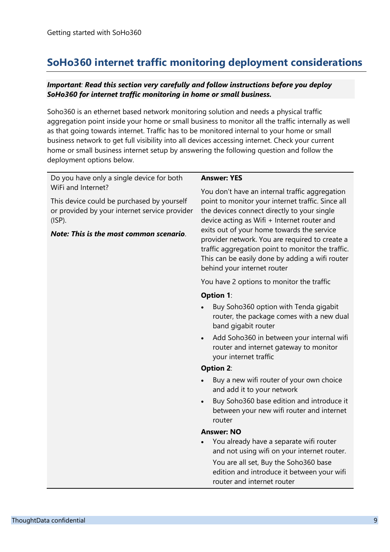### <span id="page-8-0"></span>**SoHo360 internet traffic monitoring deployment considerations**

#### *Important: Read this section very carefully and follow instructions before you deploy SoHo360 for internet traffic monitoring in home or small business.*

Soho360 is an ethernet based network monitoring solution and needs a physical traffic aggregation point inside your home or small business to monitor all the traffic internally as well as that going towards internet. Traffic has to be monitored internal to your home or small business network to get full visibility into all devices accessing internet. Check your current home or small business internet setup by answering the following question and follow the deployment options below.

| Do you have only a single device for both                                                                                                                                 | <b>Answer: YES</b>                                                                                                                                                                                                                                                                                                                                                                                                                       |  |  |
|---------------------------------------------------------------------------------------------------------------------------------------------------------------------------|------------------------------------------------------------------------------------------------------------------------------------------------------------------------------------------------------------------------------------------------------------------------------------------------------------------------------------------------------------------------------------------------------------------------------------------|--|--|
| WiFi and Internet?<br>This device could be purchased by yourself<br>or provided by your internet service provider<br>$(ISP)$ .<br>Note: This is the most common scenario. | You don't have an internal traffic aggregation<br>point to monitor your internet traffic. Since all<br>the devices connect directly to your single<br>device acting as Wifi + Internet router and<br>exits out of your home towards the service<br>provider network. You are required to create a<br>traffic aggregation point to monitor the traffic.<br>This can be easily done by adding a wifi router<br>behind your internet router |  |  |
|                                                                                                                                                                           | You have 2 options to monitor the traffic                                                                                                                                                                                                                                                                                                                                                                                                |  |  |
|                                                                                                                                                                           | <b>Option 1:</b>                                                                                                                                                                                                                                                                                                                                                                                                                         |  |  |
|                                                                                                                                                                           | Buy Soho360 option with Tenda gigabit<br>router, the package comes with a new dual<br>band gigabit router                                                                                                                                                                                                                                                                                                                                |  |  |
|                                                                                                                                                                           | Add Soho360 in between your internal wifi<br>$\bullet$<br>router and internet gateway to monitor<br>your internet traffic                                                                                                                                                                                                                                                                                                                |  |  |
|                                                                                                                                                                           | <b>Option 2:</b>                                                                                                                                                                                                                                                                                                                                                                                                                         |  |  |
|                                                                                                                                                                           | Buy a new wifi router of your own choice<br>and add it to your network                                                                                                                                                                                                                                                                                                                                                                   |  |  |
|                                                                                                                                                                           | Buy Soho360 base edition and introduce it<br>between your new wifi router and internet<br>router                                                                                                                                                                                                                                                                                                                                         |  |  |
|                                                                                                                                                                           | <b>Answer: NO</b>                                                                                                                                                                                                                                                                                                                                                                                                                        |  |  |
|                                                                                                                                                                           | You already have a separate wifi router<br>and not using wifi on your internet router.                                                                                                                                                                                                                                                                                                                                                   |  |  |
|                                                                                                                                                                           | You are all set, Buy the Soho360 base<br>edition and introduce it between your wifi<br>router and internet router                                                                                                                                                                                                                                                                                                                        |  |  |
|                                                                                                                                                                           |                                                                                                                                                                                                                                                                                                                                                                                                                                          |  |  |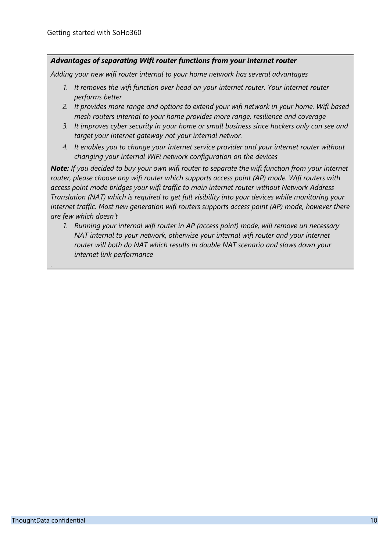### *Advantages of separating Wifi router functions from your internet router*

*Adding your new wifi router internal to your home network has several advantages*

- *1. It removes the wifi function over head on your internet router. Your internet router performs better*
- *2. It provides more range and options to extend your wifi network in your home. Wifi based mesh routers internal to your home provides more range, resilience and coverage*
- *3. It improves cyber security in your home or small business since hackers only can see and target your internet gateway not your internal networ.*
- *4. It enables you to change your internet service provider and your internet router without changing your internal WiFi network configuration on the devices*

*Note: If you decided to buy your own wifi router to separate the wifi function from your internet router, please choose any wifi router which supports access point (AP) mode. Wifi routers with access point mode bridges your wifi traffic to main internet router without Network Address Translation (NAT) which is required to get full visibility into your devices while monitoring your internet traffic. Most new generation wifi routers supports access point (AP) mode, however there are few which doesn't*

*1. Running your internal wifi router in AP (access point) mode, will remove un necessary NAT internal to your network, otherwise your internal wifi router and your internet router will both do NAT which results in double NAT scenario and slows down your internet link performance*

*.*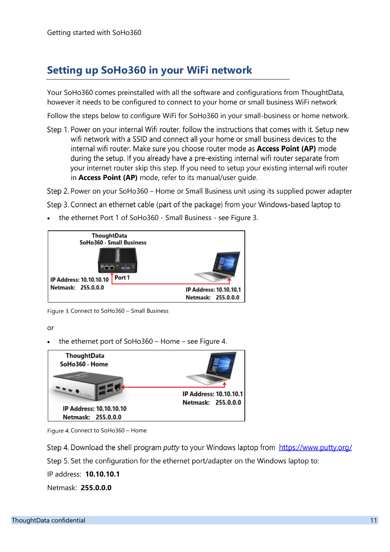### <span id="page-10-0"></span>**Setting up SoHo360 in your WiFi network**

Your SoHo360 comes preinstalled with all the software and configurations from ThoughtData, however it needs to be configured to connect to your home or small business WiFi network

Follow the steps below to configure WiFi for SoHo360 in your small-business or home network.

Step 1. Power on your internal Wifi router, follow the instructions that comes with it. Setup new wifi network with a SSID and connect all your home or small business devices to the internal wifi router. Make sure you choose router mode as **Access Point (AP)** mode during the setup. If you already have a pre-existing internal wifi router separate from your internet router skip this step. If you need to setup your existing internal wifi router in Access Point (AP) mode, refer to its manual/user quide.

Step 2. Power on your SoHo360 – Home or Small Business unit using its supplied power adapter

Step 3. Connect an ethernet cable (part of the package) from your Windows-based laptop to

• the ethernet Port 1 of SoHo360 - Small Business - see [Figure 3.](#page-10-1)



Figure 3. Connect to SoHo360 – Small Business

<span id="page-10-1"></span>or

• the ethernet port of SoHo360 – Home – see [Figure 4.](#page-10-2)



<span id="page-10-2"></span>Figure 4. Connect to SoHo360 - Home

Step 4. Download the shell program putty to your Windows laptop from https://www.putty.org/

Step 5. Set the configuration for the ethernet port/adapter on the Windows laptop to:

IP address: **10.10.10.1**

Netmask: **255.0.0.0**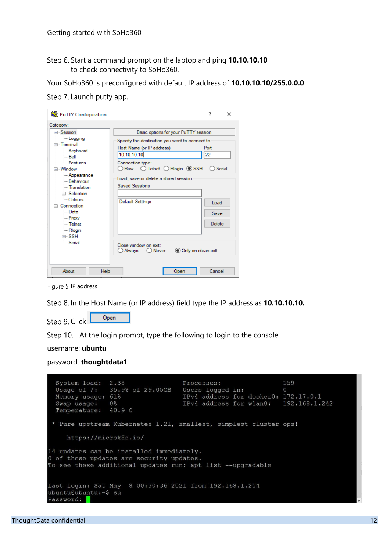Step 6. Start a command prompt on the laptop and ping 10.10.10.10 to check connectivity to SoHo360.

Your SoHo360 is preconfigured with default IP address of **10.10.10.10/255.0.0.0**

<span id="page-11-0"></span>Step 7. Launch putty app.

| PuTTY Configuration                                                                                                                                                                                                                                                             |                                                                                                                                                                                                                                                                                                                                                                                                | 7                                              | $\times$ |
|---------------------------------------------------------------------------------------------------------------------------------------------------------------------------------------------------------------------------------------------------------------------------------|------------------------------------------------------------------------------------------------------------------------------------------------------------------------------------------------------------------------------------------------------------------------------------------------------------------------------------------------------------------------------------------------|------------------------------------------------|----------|
| Category:                                                                                                                                                                                                                                                                       |                                                                                                                                                                                                                                                                                                                                                                                                |                                                |          |
| ⊟- Session<br><b>Logging</b><br>⊟ Terminal<br>Keyboard<br>i… Bell<br><b>Eeatures</b><br>⊟ Window<br>- Appearance<br>- Behaviour<br>- Translation<br>Fi-Selection<br><b>Colours</b><br>⊟ Connection<br>l— Data<br>- Proxy<br>≔ Telnet<br><b>Rlogin</b><br>⊞ SSH<br><b>Serial</b> | Basic options for your PuTTY session<br>Specify the destination you want to connect to<br>Host Name (or IP address)<br>10.10.10.10<br>Connection type:<br>$\bigcirc$ Telnet $\bigcirc$ Rlogin $\circledcirc$ SSH<br>◯ Raw<br>Load, save or delete a stored session<br><b>Saved Sessions</b><br><b>Default Settings</b><br>Close window on exit:<br>Only on clean exit<br>○ Alwavs<br>( ) Never | Port<br>22<br>Serial<br>Load<br>Save<br>Delete |          |
| About<br>Help                                                                                                                                                                                                                                                                   | Open                                                                                                                                                                                                                                                                                                                                                                                           | Cancel                                         |          |

Figure 5.IP address

Step 8. In the Host Name (or IP address) field type the IP address as 10.10.10.10.

Open Step 9. Click

Step 10. At the login prompt, type the following to login to the console.

```
username: ubuntu
```
password: **thoughtdata1**

```
System load: 2.38
                                                                       159
                                        Processes:
                  2.38 Processes: 159<br>35.9% of 29.05GB Users logged in: 0<br>61% IPv4 address for docker0: 172.17.0.1<br>0% IPv4 address for wlan0: 192.168.1.
  Usage of /:
  Memory usage: 61%
                                        IPv4 address for wlan0: 192.168.1.242
 Swap usage: 0%
 Temperature: 40.9 C
 * Pure upstream Kubernetes 1.21, smallest, simplest cluster ops!
     https://microk8s.io/
14 updates can be installed immediately.
0 of these updates are security updates.
To see these additional updates run: apt list --upgradable
                        8 00:30:36 2021 from 192.168.1.254
Last login: Sat May
ubuntu@ubuntu:~$ su
Password:
```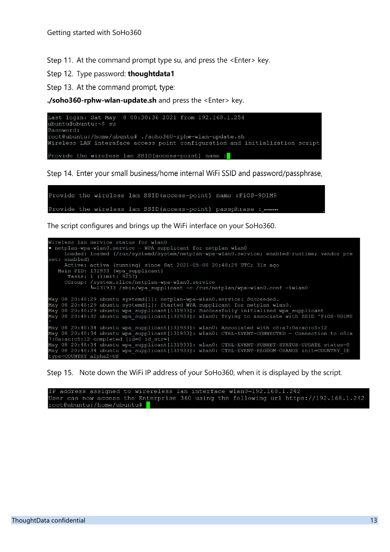Step 11. At the command prompt type su, and press the <Enter> key.

Step 12. Type password: thoughtdata1

<span id="page-12-0"></span>Step 13. At the command prompt, type:

**./soho360-rphw-wlan-update.sh** and press the <Enter> key.



Step 14. Enter your small business/home internal WiFi SSID and password/passphrase,

```
Provide the wireless lan SSID(access-point) name :FiOS-9D1M8
Provide the wireless lan SSID(access-point) passphrase : .......
```
The script configures and brings up the WiFi interface on your SoHo360.

```
Wireless lan service status for wlan0
. netplan-wpa-wlan0.service - WPA supplicant for netplan wlan0
         Loaded: loaded (/run/systemd/system/netplan-wpa-wlan0.service; enabled-runtime; vendor pre
set: enabled)
        Active: active (running) since Sat 2021-05-08 20:48:29 UTC; 31s ago
    Active: active (running) since sat 2021-05-08 20:48:29 OTC; 31s ago<br>Main PID: 131933 (wpa supplicant)<br>Tasks: 1 (limit: 9257)<br>CGroup: /system.slice/netplan-wpa-wlan0.service<br>L_131933 /sbin/wpa_supplicant -c /run/netplan/wpa
May 08 20:48:29 ubuntu systemd[1]: netplan-wpa-wlan0.service: Succeeded.<br>May 08 20:48:29 ubuntu systemd[1]: Started WPA supplicant for netplan wlan0.<br>May 08 20:48:29 ubuntu wpa_supplicant[131933]: Successfully initialized 
May 08 20:48:34 ubuntu wpa_supplicant[131933]: wlan0: Associated with c8:a7:0a:ac:c5:12<br>May 08 20:48:34 ubuntu wpa_supplicant[131933]: wlan0: CTRL-EVENT-CONNECTED - Connection to c8:a<br>7:0a:ac:c5:12 completed [id=0 id_str=]
  ype=COUNTRY alpha2=US
```
Step 15. Note down the WiFi IP address of your SoHo360, when it is displayed by the script.

IP address assigned to wirereless lan interface wlan0=192.168.1.242 User can now access the Enterprise 360 using the following url https://192.168.1.242 root@ubuntu:/home/ubuntu#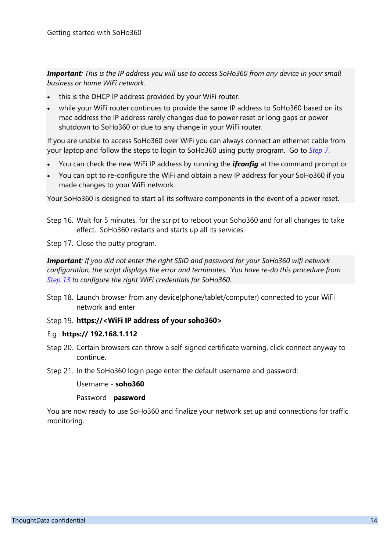*Important: This is the IP address you will use to access SoHo360 from any device in your small business or home WiFi network.* 

- this is the DHCP IP address provided by your WiFi router.
- while your WiFi router continues to provide the same IP address to SoHo360 based on its mac address the IP address rarely changes due to power reset or long gaps or power shutdown to SoHo360 or due to any change in your WiFi router.

If you are unable to access SoHo360 over WiFi you can always connect an ethernet cable from your laptop and follow the steps to login to SoHo360 using putty program. Go to *[Step 7](#page-11-0)*.

- You can check the new WiFi IP address by running the *ifconfig* at the command prompt or
- You can opt to re-configure the WiFi and obtain a new IP address for your SoHo360 if you made changes to your WiFi network.

Your SoHo360 is designed to start all its software components in the event of a power reset.

Step 16. Wait for 5 minutes, for the script to reboot your Soho360 and for all changes to take effect. SoHo360 restarts and starts up all its services.

Step 17. Close the putty program.

*Important: If you did not enter the right SSID and password for your SoHo360 wifi network configuration, the script displays the error and terminates. You have re-do this procedure from [Step 13](#page-12-0) to configure the right WiFi credentials for SoHo360.*

Step 18. Launch browser from any device(phone/tablet/computer) connected to your WiFi network and enter

#### Step 19. https://<WiFi IP address of your soho360>

#### E.g : **https:// 192.168.1.112**

- Step 20. Certain browsers can throw a self-signed certificate warning, click connect anyway to continue.
- Step 21. In the SoHo360 login page enter the default username and password:

Username - **soho360**

Password - **password**

You are now ready to use SoHo360 and finalize your network set up and connections for traffic monitoring.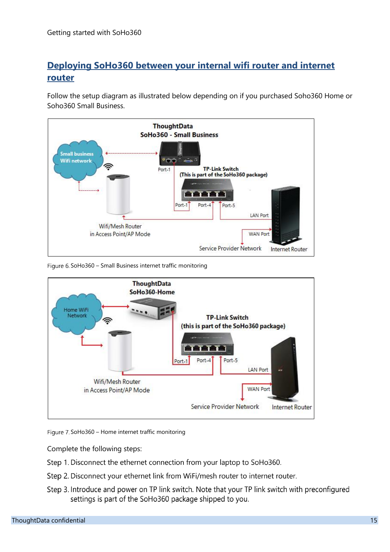### <span id="page-14-0"></span>**Deploying SoHo360 between your internal wifi router and internet router**

Follow the setup diagram as illustrated below depending on if you purchased Soho360 Home or Soho360 Small Business.



Figure 6. SoHo360 – Small Business internet traffic monitoring



Figure 7. SoHo360 – Home internet traffic monitoring

Complete the following steps:

- Step 1. Disconnect the ethernet connection from your laptop to SoHo360.
- Step 2. Disconnect your ethernet link from WiFi/mesh router to internet router.
- Step 3. Introduce and power on TP link switch. Note that your TP link switch with preconfigured settings is part of the SoHo360 package shipped to you.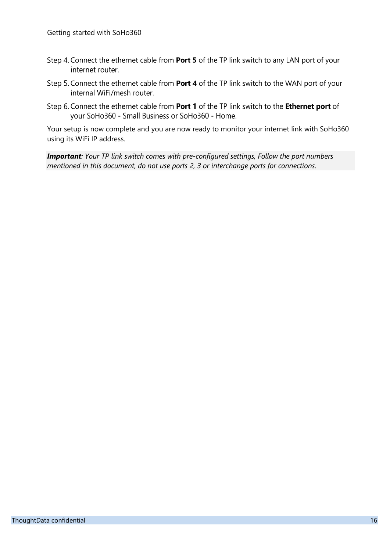- Step 4. Connect the ethernet cable from Port 5 of the TP link switch to any LAN port of your internet router.
- Step 5. Connect the ethernet cable from Port 4 of the TP link switch to the WAN port of your internal WiFi/mesh router.
- Step 6. Connect the ethernet cable from Port 1 of the TP link switch to the Ethernet port of your SoHo360 - Small Business or SoHo360 - Home.

Your setup is now complete and you are now ready to monitor your internet link with SoHo360 using its WiFi IP address.

*Important: Your TP link switch comes with pre-configured settings, Follow the port numbers mentioned in this document, do not use ports 2, 3 or interchange ports for connections.*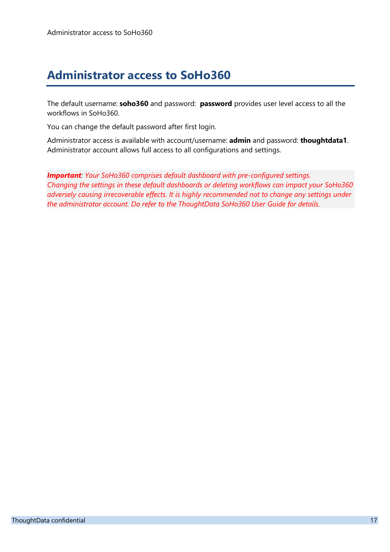# <span id="page-16-0"></span>**Administrator access to SoHo360**

The default username: **soho360** and password: **password** provides user level access to all the workflows in SoHo360.

You can change the default password after first login.

Administrator access is available with account/username: **admin** and password: **thoughtdata1**. Administrator account allows full access to all configurations and settings.

*Important: Your SoHo360 comprises default dashboard with pre-configured settings. Changing the settings in these default dashboards or deleting workflows can impact your SoHo360 adversely causing irrecoverable effects. It is highly recommended not to change any settings under the administrator account. Do refer to the ThoughtData SoHo360 User Guide for details.*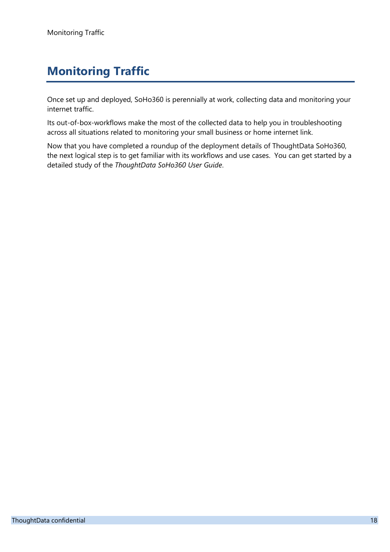# <span id="page-17-0"></span>**Monitoring Traffic**

Once set up and deployed, SoHo360 is perennially at work, collecting data and monitoring your internet traffic.

Its out-of-box-workflows make the most of the collected data to help you in troubleshooting across all situations related to monitoring your small business or home internet link.

Now that you have completed a roundup of the deployment details of ThoughtData SoHo360, the next logical step is to get familiar with its workflows and use cases. You can get started by a detailed study of the *ThoughtData SoHo360 User Guide*.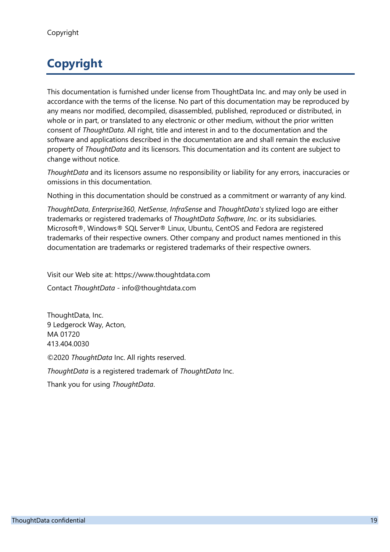# <span id="page-18-0"></span>**Copyright**

This documentation is furnished under license from ThoughtData Inc. and may only be used in accordance with the terms of the license. No part of this documentation may be reproduced by any means nor modified, decompiled, disassembled, published, reproduced or distributed, in whole or in part, or translated to any electronic or other medium, without the prior written consent of *ThoughtData*. All right, title and interest in and to the documentation and the software and applications described in the documentation are and shall remain the exclusive property of *ThoughtData* and its licensors. This documentation and its content are subject to change without notice.

*ThoughtData* and its licensors assume no responsibility or liability for any errors, inaccuracies or omissions in this documentation.

Nothing in this documentation should be construed as a commitment or warranty of any kind.

*ThoughtData*, *Enterprise360*, *NetSense*, *InfraSense* and *ThoughtData's* stylized logo are either trademarks or registered trademarks of *ThoughtData Software*, *Inc*. or its subsidiaries. Microsoft®, Windows® SQL Server® Linux, Ubuntu, CentOS and Fedora are registered trademarks of their respective owners. Other company and product names mentioned in this documentation are trademarks or registered trademarks of their respective owners.

Visit our Web site at: https://www.thoughtdata.com

Contact *ThoughtData* - info@thoughtdata.com

ThoughtData, Inc. 9 Ledgerock Way, Acton, MA 01720 413.404.0030

©2020 *ThoughtData* Inc. All rights reserved.

*ThoughtData* is a registered trademark of *ThoughtData* Inc.

Thank you for using *ThoughtData*.